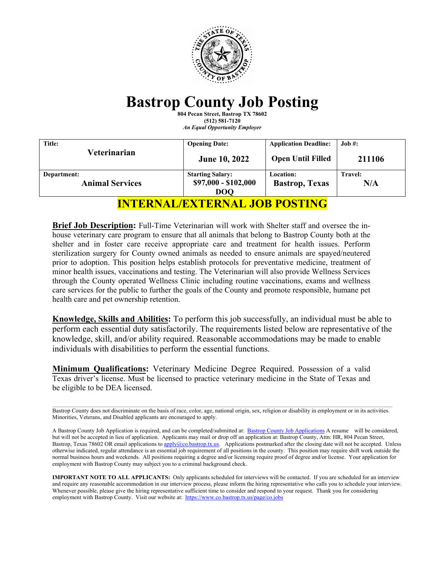

# **Bastrop County Job Posting**

**804 Pecan Street, Bastrop TX 78602 (512) 581-7120**  *An Equal Opportunity Employer* 

| Title:<br>Veterinarian               | <b>Opening Date:</b>    | <b>Application Deadline:</b> | $Job \#$ :     |
|--------------------------------------|-------------------------|------------------------------|----------------|
|                                      | <b>June 10, 2022</b>    | <b>Open Until Filled</b>     | 211106         |
| Department:                          | <b>Starting Salary:</b> | <b>Location:</b>             | <b>Travel:</b> |
| <b>Animal Services</b>               | \$97,000 - \$102,000    | <b>Bastrop</b> , Texas       | N/A            |
|                                      | <b>DOO</b>              |                              |                |
| <b>INTERNAL/EXTERNAL JOB POSTING</b> |                         |                              |                |

**Brief Job Description:** Full-Time Veterinarian will work with Shelter staff and oversee the inhouse veterinary care program to ensure that all animals that belong to Bastrop County both at the shelter and in foster care receive appropriate care and treatment for health issues. Perform sterilization surgery for County owned animals as needed to ensure animals are spayed/neutered prior to adoption. This position helps establish protocols for preventative medicine, treatment of minor health issues, vaccinations and testing. The Veterinarian will also provide Wellness Services through the County operated Wellness Clinic including routine vaccinations, exams and wellness care services for the public to further the goals of the County and promote responsible, humane pet health care and pet ownership retention.

**Knowledge, Skills and Abilities:** To perform this job successfully, an individual must be able to perform each essential duty satisfactorily. The requirements listed below are representative of the knowledge, skill, and/or ability required. Reasonable accommodations may be made to enable individuals with disabilities to perform the essential functions.

**Minimum Qualifications:** Veterinary Medicine Degree Required. Possession of a valid Texas driver's license. Must be licensed to practice veterinary medicine in the State of Texas and be eligible to be DEA licensed.

Bastrop County does not discriminate on the basis of race, color, age, national origin, sex, religion or disability in employment or in its activities. Minorities, Veterans, and Disabled applicants are encouraged to apply.

A Bastrop County Job Application is required, and can be completed/submitted at: Bastrop County Job Applications A resume will be considered, but will not be accepted in lieu of application. Applicants may mail or drop off an application at: Bastrop County, Attn: HR, 804 Pecan Street, Bastrop, Texas 78602 OR email applications to apply@co.bastrop.tx.us. Applications postmarked after the closing date will not be accepted. Unless otherwise indicated, regular attendance is an essential job requirement of all positions in the county. This position may require shift work outside the normal business hours and weekends. All positions requiring a degree and/or licensing require proof of degree and/or license. Your application for employment with Bastrop County may subject you to a criminal background check.

**IMPORTANT NOTE TO ALL APPLICANTS:** Only applicants scheduled for interviews will be contacted. If you are scheduled for an interview and require any reasonable accommodation in our interview process, please inform the hiring representative who calls you to schedule your interview. Whenever possible, please give the hiring representative sufficient time to consider and respond to your request. Thank you for considering employment with Bastrop County. Visit our website at: https://www.co.bastrop.tx.us/page/co.jobs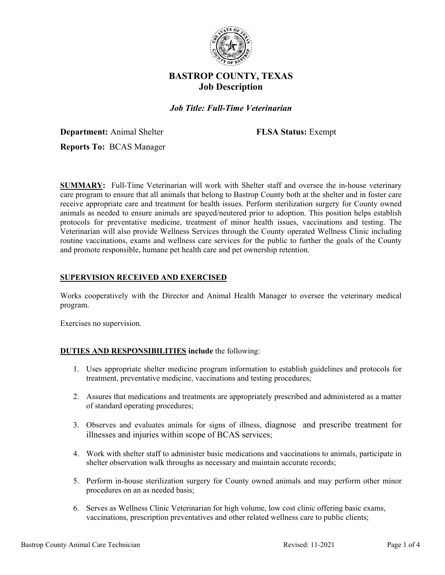

# **BASTROP COUNTY, TEXAS Job Description**

*Job Title: Full-Time Veterinarian*

**Department:** Animal Shelter **FLSA Status:** Exempt

**Reports To:** BCAS Manager

**SUMMARY:** Full-Time Veterinarian will work with Shelter staff and oversee the in-house veterinary care program to ensure that all animals that belong to Bastrop County both at the shelter and in foster care receive appropriate care and treatment for health issues. Perform sterilization surgery for County owned animals as needed to ensure animals are spayed/neutered prior to adoption. This position helps establish protocols for preventative medicine, treatment of minor health issues, vaccinations and testing. The Veterinarian will also provide Wellness Services through the County operated Wellness Clinic including routine vaccinations, exams and wellness care services for the public to further the goals of the County and promote responsible, humane pet health care and pet ownership retention.

## **SUPERVISION RECEIVED AND EXERCISED**

Works cooperatively with the Director and Animal Health Manager to oversee the veterinary medical program.

Exercises no supervision.

#### **DUTIES AND RESPONSIBILITIES include** the following:

- 1. Uses appropriate shelter medicine program information to establish guidelines and protocols for treatment, preventative medicine, vaccinations and testing procedures;
- 2. Assures that medications and treatments are appropriately prescribed and administered as a matter of standard operating procedures;
- 3. Observes and evaluates animals for signs of illness, diagnose and prescribe treatment for illnesses and injuries within scope of BCAS services;
- 4. Work with shelter staff to administer basic medications and vaccinations to animals, participate in shelter observation walk throughs as necessary and maintain accurate records;
- 5. Perform in-house sterilization surgery for County owned animals and may perform other minor procedures on an as needed basis;
- 6. Serves as Wellness Clinic Veterinarian for high volume, low cost clinic offering basic exams, vaccinations, prescription preventatives and other related wellness care to public clients;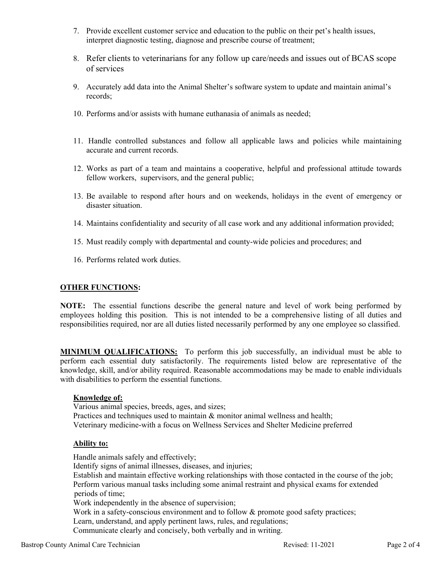- 7. Provide excellent customer service and education to the public on their pet's health issues, interpret diagnostic testing, diagnose and prescribe course of treatment;
- 8. Refer clients to veterinarians for any follow up care/needs and issues out of BCAS scope of services
- 9. Accurately add data into the Animal Shelter's software system to update and maintain animal's records;
- 10. Performs and/or assists with humane euthanasia of animals as needed;
- 11. Handle controlled substances and follow all applicable laws and policies while maintaining accurate and current records.
- 12. Works as part of a team and maintains a cooperative, helpful and professional attitude towards fellow workers, supervisors, and the general public;
- 13. Be available to respond after hours and on weekends, holidays in the event of emergency or disaster situation.
- 14. Maintains confidentiality and security of all case work and any additional information provided;
- 15. Must readily comply with departmental and county-wide policies and procedures; and
- 16. Performs related work duties.

#### **OTHER FUNCTIONS:**

**NOTE:** The essential functions describe the general nature and level of work being performed by employees holding this position. This is not intended to be a comprehensive listing of all duties and responsibilities required, nor are all duties listed necessarily performed by any one employee so classified.

**MINIMUM QUALIFICATIONS:** To perform this job successfully, an individual must be able to perform each essential duty satisfactorily. The requirements listed below are representative of the knowledge, skill, and/or ability required. Reasonable accommodations may be made to enable individuals with disabilities to perform the essential functions.

#### **Knowledge of:**

 Various animal species, breeds, ages, and sizes; Practices and techniques used to maintain & monitor animal wellness and health; Veterinary medicine-with a focus on Wellness Services and Shelter Medicine preferred

#### **Ability to:**

Handle animals safely and effectively;

Identify signs of animal illnesses, diseases, and injuries;

 Establish and maintain effective working relationships with those contacted in the course of the job; Perform various manual tasks including some animal restraint and physical exams for extended periods of time;

Work independently in the absence of supervision;

Work in a safety-conscious environment and to follow & promote good safety practices;

Learn, understand, and apply pertinent laws, rules, and regulations;

Communicate clearly and concisely, both verbally and in writing.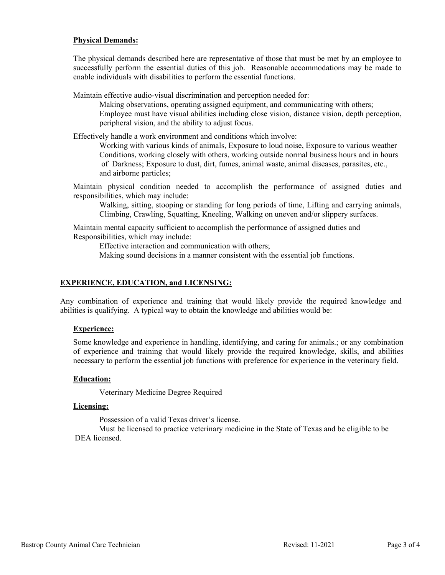#### **Physical Demands:**

The physical demands described here are representative of those that must be met by an employee to successfully perform the essential duties of this job. Reasonable accommodations may be made to enable individuals with disabilities to perform the essential functions.

Maintain effective audio-visual discrimination and perception needed for:

 Making observations, operating assigned equipment, and communicating with others; Employee must have visual abilities including close vision, distance vision, depth perception, peripheral vision, and the ability to adjust focus.

Effectively handle a work environment and conditions which involve:

 Working with various kinds of animals, Exposure to loud noise, Exposure to various weather Conditions, working closely with others, working outside normal business hours and in hours of Darkness; Exposure to dust, dirt, fumes, animal waste, animal diseases, parasites, etc., and airborne particles;

Maintain physical condition needed to accomplish the performance of assigned duties and responsibilities, which may include:

Walking, sitting, stooping or standing for long periods of time, Lifting and carrying animals, Climbing, Crawling, Squatting, Kneeling, Walking on uneven and/or slippery surfaces.

 Maintain mental capacity sufficient to accomplish the performance of assigned duties and Responsibilities, which may include:

Effective interaction and communication with others;

Making sound decisions in a manner consistent with the essential job functions.

#### **EXPERIENCE, EDUCATION, and LICENSING:**

Any combination of experience and training that would likely provide the required knowledge and abilities is qualifying. A typical way to obtain the knowledge and abilities would be:

#### **Experience:**

Some knowledge and experience in handling, identifying, and caring for animals.; or any combination of experience and training that would likely provide the required knowledge, skills, and abilities necessary to perform the essential job functions with preference for experience in the veterinary field.

#### **Education:**

Veterinary Medicine Degree Required

## **Licensing:**

Possession of a valid Texas driver's license.

 Must be licensed to practice veterinary medicine in the State of Texas and be eligible to be DEA licensed.